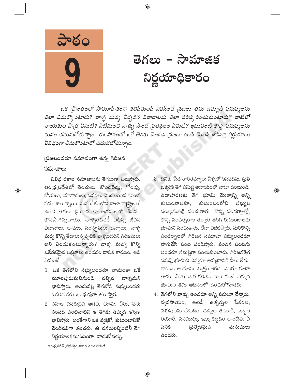

తెగలు – సామాజిక నిర్ణయాధికారం

ఒక [పాంతంలో సామూహికంగా కలిసిమెలసి నివసించే [పజలు తమ ఉమ్మడి సమస్యలను ఎలా ఎదుర్కొంటారు? వాళ్ళ మధ్య ఏర్పడిన వివాదాలను ఎలా పరిష్కరించుకుంటారు? వాటిలో నాయకుల పాత్ర ఏమిటి? వీటినుంచి వాళ్ళు పొందే ప్రతిఫలం ఏమిటి? ఇటువంటి కొన్ని సమస్యలను మనం చదువబోతున్నాం. ఈ పాఠంలో ఒకే తెగకు చెందిన ప్రజలు కలసి మెలసి జీవిస్తూ నిర్ణయాలు ఏవిధంగా తీసుకొంటారో చదువబోతున్నాం.

⊕

## (పజలందరూ సమానంగా ఉన్న గిరిజన సమాజాలు

 $\bigoplus$ 

వివిధ రకాల సమాజాలను తెగలుగా పిలుసారు. ఆంధ్రప్రదేశ్లో చెంచులు, కొందరెడ్లు, గోండ్లు, కోయలు, యానాదులు, సవరలు మొదలయిన గిరిజన సమాజాలున్నాయి. మన దేశంలోని చాలా రాష్ఠాలలో ఉండే తెగలు (పధానంగా అడవులలో జీవనం కొనసాగిస్తున్నారు. వాళ్ళందరికీ విభిన్న జీవన విధానాలు, భాషలు, సంస్థృతులు ఉన్నాయి. వాళ్ళ మధ్య కొన్ని తేదాలున్నప్పటికీ వాళ్ళందరిని గిరిజనులు అని ఎందుకంటున్నారు? వాళ్ళ మధ్య కొన్ని ఒకేరకమైన లక్షణాలు ఉండడం దానికి కారణం. అవి ఏమంటే:

- 1. ఒక తెగలోని సభ్యులందరూ తామంతా ఒకే మూలపురుషునినుండి వచ్చిన వాళ్ళమని భావిస్తారు. అందువల్ల తెగలోని సభ్యులందరు ఒకరినొకరు బంధువుగా తలుస్తారు.
- 2. సహజ వనరులైన అడవి, భూమి, నీరు, పశు సంపద వంటివాటిని ఆ తెగకు ఉమ్మడి ఆస్తిగా భావిస్తారు. అంతేగాని ఒక వ్యక్తికో, కుటుంబానికో చెందినవిగా తలచరు. ఈ వనరులన్నింటినీ తెగ నిర్ణయాలకనుగుణంగా వాడుకోవచ్చు.
- 3. ధనిక, పేద తారతమ్యాలు వీళ్ళలో కనపడవు. <mark>(</mark>పతి ఒక్కరికి తెగ సమిష్టి ఆదాయంలో వాటా ఉంటుంది. ఉదాహరణకు తెగ భూమి మొత్తాన్ని అన్ని కుటుంబాలకూ, కుటుంబంలోని సభ్యుల సంఖ్యనుబట్టి పంచుతారు. కొన్ని సందర్భాల్లో, కొన్ని సంవత్సరాల తర్వాత తిరిగి కుటుంబాలకు భూమిని పంచుతారు, లేదా విభజిస్తారు. మరికొన్ని సందర్భాలలో గిరిజన సమూహ సభ్యులందరూ సాగుచేసి పంట పండిస్తారు. పండిన పంటను అందరూ సమష్టిగా పంచుకుంటారు. గిరిజనతెగ సమష్టి భూమిని ఎవ్వరూ అమ్మడానికి వీలు లేదు. కారణం ఆ భూమి మొత్తం తెగది. ఎవరూ కూడా తాము సాగు చేయగలిగిన దాని కంటే ఎక్కువ భూమిని తమ ఆధీనంలో ఉంచుకోగూడదు.

 $\bigoplus$ 

4. తెగలోని వాళ్ళు అందరూ అన్ని పనులూ చేస్తారు. వ్యవసాయం, అటవీ ఉత్పత్తుల సేకరణ, పశువులను మేపడం, దుస్తుల తయారీ, బుట్టల తయారీ, పనిముట్లు, ఇల్లు కట్టడం లాంటివి. ఏ పనికి డ్రత్యేకమైన మనుషులు ఉందరు.

ఆంధ్రప్రదేశ్ (పభుత్వం వారిచే ఉచితపంపిణీ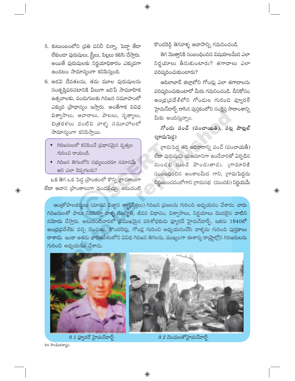5. కుటుంబంలోని (పతి పనినీ చిన్నా, పెద్దా తేడా లేకుండా పురుషులు, స్త్రీలు, పిల్లలు కలిసి చేస్తారు. అయితే పురుషులకు నిర్ణయాధికారం ఎక్కువగా ఉండటం సామాన్యంగా కనిపిస్తుంది.

- 6. అడవి దేవతలను, తమ మూల పురుషులను సంతృప్తిపరచటానికి వీలుగా జరిపే సామూహిక ఉత్సవాలకు, పండుగులకు గిరిజన సమూహంలో ఎక్కువ (పాధాన్యం ఇస్తారు. అంతేగాక వివిధ విశ్వాసాలు, ఆచారాలు, పాటలు, నృత్యాలు, చిత్రకళలు వంటివి వాళ్ళ సమూహాలలో సామాన్యంగా కనిపిస్తాయి.
	- గిరిజనులలో కనిపించే (పధానమైన వృత్తుల గురించి రాయండి.
	- $\bullet$  గిరిజన తెగలలోని సభ్యులందరూ సమానమే అని ఎలా చెప్పగలరు?

ఒక తెగ ఒక పెద్ద (పాంతంలో కొన్ని గ్రామాలుగా లేదా ఆవాస (పాంతాలుగా వుండవచ్చు. అటువంటి కొండరెడ్డి తెగవాళ్ళ ఆవాసాన్ని గమనించండి.

తెగ మొత్తానికి సంబంధించిన విషయాలమీద ఎలా నిర్ణయాలు తీసుకుంటారు? తగాదాలు ఎలా పరిష్కరించుకుంటారు?

ఆదిలాబాద్ జిల్లాలోని గోండ్లు ఎలా తగాదాలను పరిష్మరించుకుంటారో మీరు గమనించండి. దీనికోసం ఆంధ్రప్రదేశ్లోని గోండుల గురించి ఫ్యూరర్ హైమన్డార్ఫ్ రాసిన పుస్తకంలోని సంక్షిప్త సారాంశాన్ని మీకు అందిస్తున్నాం.

గోండు పంచ్ (పంచాయితి), పట్ల పాట్లల్ (గ్రామపెద్ద)

(గామపెద్ద తన అధికారాన్ని పంచ్ (పంచాయతీ) లేదా పురుషుడు యజమానిగా ఉండేవారితో ఏర్పడిన మండలి నుండి పొందుతాడు. (గామానికి సంబంధించిన అంశాలమీద గాని, గ్రామపెద్దను నిర్ణయించడంలోగాని గ్రామసభ (మండలి) నిర్ణయమే

 $\bigoplus$ 

ఆండ్రోపాలజిస్టులు (మానవ విజ్ఞాన శాస్త్రవేత్తలు) గిరిజన (పజలను గురించి అధ్యయనం చేశారు. వారు గిరిజనులతో పాటు నివసిస్తూ వాళ్ళ సంస్మృతి, జీవన విధానం, విశ్వాసాలు, నిర్ణయాలు మొదలైన వాటిని నమోదు చేస్తారు. అటువంటివారిలో (పముఖమైన పరిశోధకుడు ఫ్యూరర్ హైమన్**డార్ప్. ఇతను 1940లో** ఆంధ్రప్రదేశ్కు వచ్చి చెంచులు, కొందరెడ్లు, గోండ్ల గురించి అధ్యయనంచేసి వాళ్ళను గురించి పుస్తకాలు రాశాదు. ఇంకా అతదు భారతదేశంలోని వివిధ గిరిజన తెగలను, ముఖ్యంగా ఈశాన్య రా(్హుెల్లోని గిరిజనులను గురించి అధ్యయనం చేశాడు.



 $\bigoplus$ 

 $9.1$  ఫ్యూరర్ హైమన్డార్స్

9.2 చెంచులతోహైమన్డార్స్

84 సాంఘికశాస్త్రం

 $\bigoplus$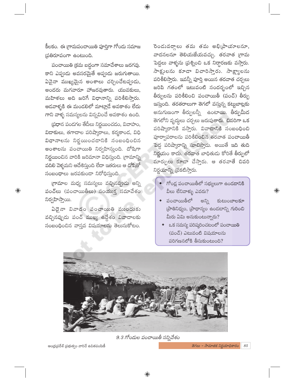కీలకం. ఈ గ్రామపంచాయితి పూర్తిగా గోందు సమాజ ప్రతిరూపంగా ఉంటుంది.

పంచాయితి క్రమ బద్ధంగా సమావేశాలు జరగవు. కాని ఎప్పుడు అవసరమైతే అప్పుడు జరుగుతాయి. ఏవైనా ముఖ్యమైన అంశాలు చర్చించేటప్పుడు, అందరు మగవారూ హాజరవుతారు. యువకులు, మహిళలు అది జరిగే విధానాన్ని పరిశీలిస్తారు. ఆడవాళ్ళకి ఈ మండలిలో మాట్లాడే అవకాశం లేదు గాని వాళ్ళ సమస్యలను విన్నవించే అవకాశం ఉంది.

స్రధాన పండగల తేదీలు నిర్ణయించడం, వివాహం, విడాకులు, తగాదాల పరిష్మారాలు, కర్మకాండ, విధి విధానాలను నిర్ణయించడానికి సంబంధించిన అంశాలను పంచాయితి నిర్వహిస్తుంది. దోషిగా నిర్ణయించిన వారికి జరిమానా విధిస్తుంది. (గామాన్ని వదిలి వెళ్ళమని ఆదేశిస్తుంది లేదా ఇతరులు ఆ దోషితో సంబంధాలు జరపకుండా నిరోధిస్తుంది.

గ్రామాల మధ్య సమస్యలు వచ్చినప్పుడు అన్ని పంచ్లు (పంచాయితీలు) సంయుక్త సమావేశం నిర్వహిస్తాయి.

 $\bigoplus$ 

ఏదైనా వివాదం పంచాయితి ముందుకు వచ్చినప్పుడు పంచ్ ముఖ్య ఉద్దేశం వివాదాలకు సంబంధించిన వాస్తవ విషయాలను తెలుసుకోటం.

రెండువర్గాలు తమ తమ అభి(పాయాలనూ, వాదనలనూ తెలియజేయవచ్చు. తరవాత గ్రామ పెద్దలు వాళ్ళను (పశ్నించి ఒక నిర్ధారణకు వస్తారు. సాక్టులను కూడా విచారిస్తారు. సాక్ట్యాలను పరిశీలిస్తారు. ఇవన్నీ పూర్తి అయిన తరవాత చర్చలు జరిపి గతంలో ఇటువంటి సందర్భంలో ఇచ్చిన తీర్పులను పరిశీలించి పంచాయితీ (పంచ్) తీర్పు ఇస్తుంది. తరతరాలుగా తెగలో వస్తున్న కట్టబాట్లకు అనుగుణంగా తీర్పులన్నీ ఉంటాయి. తీర్పుమీద తెగలోని వృద్దలు చర్చలు జరుపుతారు. చివరిగా ఒక పరిష్కారానికి వస్తారు. వివాదానికి సంబంధించి పూర్వాపరాలను పరిశీలించిన తరవాత పంచాయితీ పెద్ద పరిష్కారాన్ని సూచిస్తాడు. అయితే ఇది తుది నిర్ణయం కాదు. తరవాత బాధితుడు కోరితే తీర్పులో మార్పులు కూడా చేస్తారు. ఆ తరవాతే చివరి నిర్ణయాన్ని (పకటిస్తారు.

గోండ్ల పంచాయితీలో సభ్యులుగా ఉండడానికి వీలు లేనివాళ్ళు ఎవరు?

 $\bigoplus$ 

- ◆ పంచాయితీలో అన్ని కుటుంబాలకూ (อ่ายลสุด, (อ่าตาล์ด doaderล) ก่องอ మీరు ఏమి అనుకుంటున్నారు?
- $\bullet$  as సమస్య పరిష్కరించటంలో పంచాయితి (పంచ్) ఎటువంటి విషయాలను పరిగణనలోకి తీసుకుంటుంది?



 $\bigoplus$ 

9.3 గోందుల పంచాయితీ సన్నివేశం

ఆంధ్రప్రదేశ్ ప్రభుత్వం వారిచే ఉచితపంపిణీ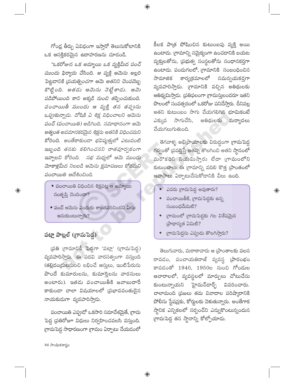గోండ్ల తీర్పు ఏవిధంగా ఇస్తారో తెలుసుకోటానికి ఒక ఆసక్తికరమైన ఉదాహరణను చూడండి.

 $\bigoplus$ 

"ఒకరోజున ఒక అమ్మాయి ఒక వ్యక్తిమీద పంచ్ ముందు ఫిర్యాదు చేసింది. ఆ వ్యక్తి ఆమెను అల్లరి పెట్టడానికి (పయత్నించగా ఆమె అతనిని చెంపదెబ్బ కొట్టింది. అతడు ఆమెను నెట్టేశాడు. ఆమె పడిపోయింది కాని అక్కడి నుంచి తప్పించుకుంది. పంచాయితీ ముందు ఆ వ్యక్తి తన తప్పును ఒప్పుకున్నాడు. దోషికి ఏ శిక్ష విధించాలని ఆమెను పంచ్ (పంచాయితి) అడిగింది. సమాధానంగా ఆమె అత్యంత అవమానకరమైన శిక్షను అతనికి విధించమని కోరింది. అంతేకాకుండా భవిష్యత్తులో ఎటువంటి ఇబ్బంది తనకు కలిగించనని రాతపూర్వకంగా ఇవ్వాలని కోరింది. సభ మధ్యలో ఆమె ముందు మోకాళ్లమీద నిలబడి ఆమెను క్షమాపణలు కోరమని పంచాయితి ఆదేశించింది.

- $\bullet$  పంచాయితి విధించిన శిక్షపట్ల ఆ అమ్మాయి సంతృప్తి చెందిందా?
- ◆ పంచ్ ఆమెను ఎందుకు శాంతపరిచిందని మీరు అనుకుంటున్నారు?

## పట్లా పాట్లల్ (గ్రామపెద్ద)

 $\bigoplus$ 

(పతి గ్రామానికీ పెద్దగా 'పట్లా' (గ్రామపెద్ద) వ్యవహరిస్తారు. ఈ పదవి వారసత్వంగా వస్తుంది (తల్లిదం(దులనుంచి లభించే ఆస్తులు, ఇంటిపేరును పొందే కుమారులను, కుమార్తెలను వారసులు అంటారు). ఇతడు పంచాయితీకి జవాబుదారే కాకుండా చాలా విషయాలలో (పభావవంతుడైన నాయకుడుగా వ్యవహరిస్తాడు.

పంచాయితి ఎప్పుడో ఒకసారి సమావేశమైతే, గ్రామ పెద్ద (పతిరోజూ విధులు నిర్వహించవలసి వస్తుంది. గ్రామపెద్ద సాధారణంగా గ్రామం ఏర్పాటు చేయడంలో

కీలక పాత్ర పోషించిన కుటుంబపు వ్యక్తి అయి ఉంటాడు. (గామాన్ని సమైక్యంగా ఉంచడానికి బయట వ్యక్తులతోను, (పభుత్వ సంస్థలతోను సంధానకర్తగా ఉంటాడు. పండుగలలో, గ్రామానికి సంబంధించిన కార్య(కమాలలో సమన్వయకర్తగా సామాజిక వ్యవహరిస్తాడు. గ్రామానికి వచ్చిన అతిథులకు ఆతిథ్యమిస్తాడు. (పతిఫలంగా గ్రామస్తులందరూ ఇతని పొలంలో సంవత్సరంలో ఒకరోజు పనిచేస్తారు. దీనివల్ల అతని కుటుంబం సాగు చేయగలిగిన భూమికంటే ఎక్కువ సాగుచేసి, అతిథులకు మర్యాదలు చేయగలుగుతుంది.

తెగవాళ్ళ అభి[పాయాలకు విరుద్ధంగా గ్రామపెద్ద గర్వంతో (పవర్తిస్తే అతన్ని తొలగించి అతని స్థానంలో మరొకరిని నియమిస్తారు లేదా (గామంలోని కుటుంబాలు ఈ (గామాన్ని వదిలి కొత్త (పాంతంలో ఆవాసాలు ఏర్పాటుచేసుకోడానికి వీలు ఉంది.

 $\bigoplus$ 

- <mark>ు</mark>వరు గ్రామపెద్ద అవుతారు?
- $\bullet$  పంచాయితీకి, గ్రామపెద్దకు ఉన్న  $\sim$ อ $\approx$ อ $\approx$ อ $\approx$  $\approx$  $\approx$  $\approx$
- గ్రామంలో (గామపెద్దకు గల విశేషమైన (పాధాన్యత ఏమిటి?
- గ్రామపెద్దను ఎప్పుడు తొలగిస్తారు?

తెలుగువారు, మరాఠావారు ఆ [పాంతాలకు వలస రావడం, పంచాయతిరాజ్ వ్యవస్థ (పారంభం కావడంతో 1940, 1950ల నుంచి గోండుల ఆచారాలలో, వ్యవస్థలలో మార్పులు చోటుచేసు కుంటున్నాయని హైమన్డార్ఫ్ వివరించారు. చాలామంది (పజలు తమ వివాదాల పరిష్కారానికి పోలీసు స్టేషన్లకు, కోర్టులకు వెళుతున్నారు. అంతేగాక స్థానిక ఎన్నికలలో సర్పంచ్ని ఎన్నుకొంటున్నందున గ్రామపెద్ద తన స్థానాన్ని కోల్పోయాడు.

86 సాంఘికశాస్త్రం